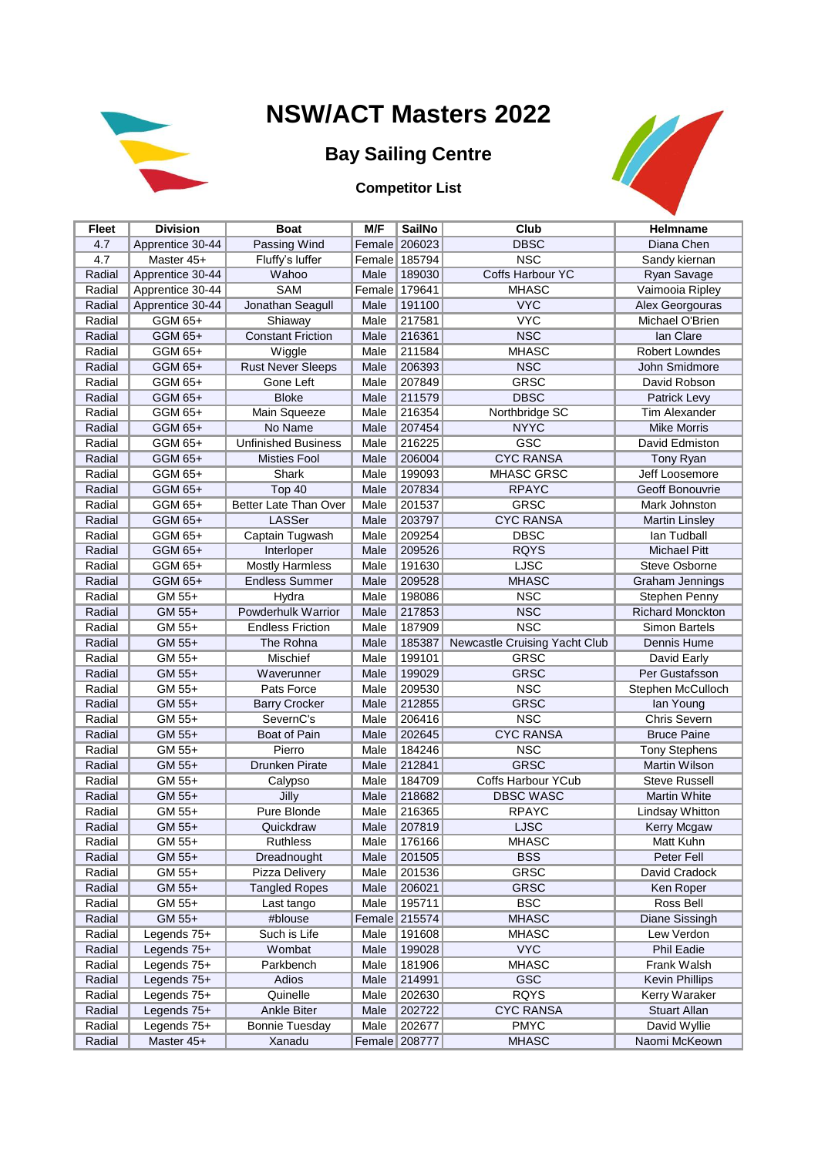

## **NSW/ACT Masters 2022**

## **Bay Sailing Centre**

**Competitor List**



| <b>Fleet</b> | <b>Division</b>  | <b>Boat</b>                | M/F    | <b>SailNo</b> | Club                          | Helmname                |
|--------------|------------------|----------------------------|--------|---------------|-------------------------------|-------------------------|
| 4.7          | Apprentice 30-44 | Passing Wind               |        | Female 206023 | <b>DBSC</b>                   | Diana Chen              |
| 4.7          | Master 45+       | Fluffy's luffer            |        | Female 185794 | <b>NSC</b>                    | Sandy kiernan           |
| Radial       | Apprentice 30-44 | Wahoo                      | Male   | 189030        | Coffs Harbour YC              | Ryan Savage             |
| Radial       | Apprentice 30-44 | SAM                        | Female | 179641        | <b>MHASC</b>                  | Vaimooia Ripley         |
| Radial       | Apprentice 30-44 | Jonathan Seagull           | Male   | 191100        | <b>VYC</b>                    | Alex Georgouras         |
| Radial       | GGM 65+          | Shiaway                    | Male   | 217581        | <b>VYC</b>                    | Michael O'Brien         |
| Radial       | GGM 65+          | <b>Constant Friction</b>   | Male   | 216361        | <b>NSC</b>                    | lan Clare               |
| Radial       | GGM 65+          | Wiggle                     | Male   | 211584        | <b>MHASC</b>                  | <b>Robert Lowndes</b>   |
| Radial       | GGM 65+          | <b>Rust Never Sleeps</b>   | Male   | 206393        | <b>NSC</b>                    | John Smidmore           |
| Radial       | GGM 65+          | Gone Left                  | Male   | 207849        | <b>GRSC</b>                   | David Robson            |
| Radial       | GGM 65+          | <b>Bloke</b>               | Male   | 211579        | <b>DBSC</b>                   | Patrick Levy            |
| Radial       | GGM 65+          | Main Squeeze               | Male   | 216354        | Northbridge SC                | Tim Alexander           |
| Radial       | GGM 65+          | No Name                    | Male   | 207454        | <b>NYYC</b>                   | <b>Mike Morris</b>      |
| Radial       | GGM 65+          | <b>Unfinished Business</b> | Male   | 216225        | GSC                           | David Edmiston          |
| Radial       | GGM 65+          | <b>Misties Fool</b>        | Male   | 206004        | <b>CYC RANSA</b>              | Tony Ryan               |
| Radial       | GGM 65+          | Shark                      | Male   | 199093        | MHASC GRSC                    | Jeff Loosemore          |
| Radial       | GGM 65+          | Top 40                     | Male   | 207834        | <b>RPAYC</b>                  | Geoff Bonouvrie         |
| Radial       | GGM 65+          | Better Late Than Over      | Male   | 201537        | <b>GRSC</b>                   | Mark Johnston           |
| Radial       | GGM 65+          | LASSer                     | Male   | 203797        | <b>CYC RANSA</b>              | <b>Martin Linsley</b>   |
| Radial       | GGM 65+          | Captain Tugwash            | Male   | 209254        | <b>DBSC</b>                   | lan Tudball             |
| Radial       | GGM 65+          | Interloper                 | Male   | 209526        | <b>RQYS</b>                   | <b>Michael Pitt</b>     |
| Radial       | GGM 65+          | <b>Mostly Harmless</b>     | Male   | 191630        | <b>LJSC</b>                   | <b>Steve Osborne</b>    |
| Radial       | GGM 65+          | <b>Endless Summer</b>      | Male   | 209528        | <b>MHASC</b>                  | Graham Jennings         |
| Radial       | GM 55+           | Hydra                      | Male   | 198086        | <b>NSC</b>                    | Stephen Penny           |
| Radial       | GM 55+           | Powderhulk Warrior         | Male   | 217853        | <b>NSC</b>                    | <b>Richard Monckton</b> |
| Radial       | GM 55+           | <b>Endless Friction</b>    | Male   | 187909        | <b>NSC</b>                    | <b>Simon Bartels</b>    |
| Radial       | GM 55+           | The Rohna                  | Male   | 185387        | Newcastle Cruising Yacht Club | Dennis Hume             |
| Radial       | GM 55+           | Mischief                   | Male   | 199101        | <b>GRSC</b>                   | David Early             |
| Radial       | GM 55+           | Waverunner                 | Male   | 199029        | <b>GRSC</b>                   | Per Gustafsson          |
| Radial       | GM 55+           | Pats Force                 | Male   | 209530        | <b>NSC</b>                    | Stephen McCulloch       |
| Radial       | GM 55+           | <b>Barry Crocker</b>       | Male   | 212855        | <b>GRSC</b>                   | lan Young               |
| Radial       | GM 55+           | SevernC's                  | Male   | 206416        | <b>NSC</b>                    | Chris Severn            |
| Radial       | GM 55+           | Boat of Pain               | Male   | 202645        | <b>CYC RANSA</b>              | <b>Bruce Paine</b>      |
| Radial       | GM 55+           | Pierro                     | Male   | 184246        | <b>NSC</b>                    | <b>Tony Stephens</b>    |
| Radial       | GM 55+           | Drunken Pirate             | Male   | 212841        | <b>GRSC</b>                   | <b>Martin Wilson</b>    |
| Radial       | GM 55+           | Calypso                    | Male   | 184709        | Coffs Harbour YCub            | <b>Steve Russell</b>    |
| Radial       | GM 55+           | Jilly                      | Male   | 218682        | <b>DBSC WASC</b>              | <b>Martin White</b>     |
| Radial       | GM 55+           | Pure Blonde                | Male   | 216365        | <b>RPAYC</b>                  | Lindsay Whitton         |
| Radial       | GM 55+           | Quickdraw                  | Male   | 207819        | <b>LJSC</b>                   | Kerry Mcgaw             |
| Radial       | GM 55+           | <b>Ruthless</b>            | Male   | 176166        | <b>MHASC</b>                  | Matt Kuhn               |
| Radial       | GM 55+           | Dreadnought                | Male   | 201505        | <b>BSS</b>                    | Peter Fell              |
| Radial       | GM 55+           | Pizza Delivery             | Male   | 201536        | <b>GRSC</b>                   | David Cradock           |
| Radial       | GM 55+           | <b>Tangled Ropes</b>       | Male   | 206021        | <b>GRSC</b>                   | Ken Roper               |
| Radial       | GM 55+           | Last tango                 | Male   | 195711        | <b>BSC</b>                    | Ross Bell               |
| Radial       | GM 55+           | #blouse                    | Female | 215574        | <b>MHASC</b>                  | Diane Sissingh          |
| Radial       | Legends 75+      | Such is Life               | Male   | 191608        | <b>MHASC</b>                  | Lew Verdon              |
| Radial       | Legends 75+      | Wombat                     | Male   | 199028        | <b>VYC</b>                    | <b>Phil Eadie</b>       |
| Radial       | Legends 75+      | Parkbench                  | Male   | 181906        | <b>MHASC</b>                  | Frank Walsh             |
| Radial       | Legends 75+      | Adios                      | Male   | 214991        | GSC                           | <b>Kevin Phillips</b>   |
| Radial       | Legends 75+      | Quinelle                   | Male   | 202630        | <b>RQYS</b>                   | Kerry Waraker           |
| Radial       | Legends 75+      | Ankle Biter                | Male   | 202722        | <b>CYC RANSA</b>              | Stuart Allan            |
| Radial       | Legends 75+      | <b>Bonnie Tuesday</b>      | Male   | 202677        | <b>PMYC</b>                   | David Wyllie            |
| Radial       | Master 45+       | Xanadu                     |        | Female 208777 | <b>MHASC</b>                  | Naomi McKeown           |